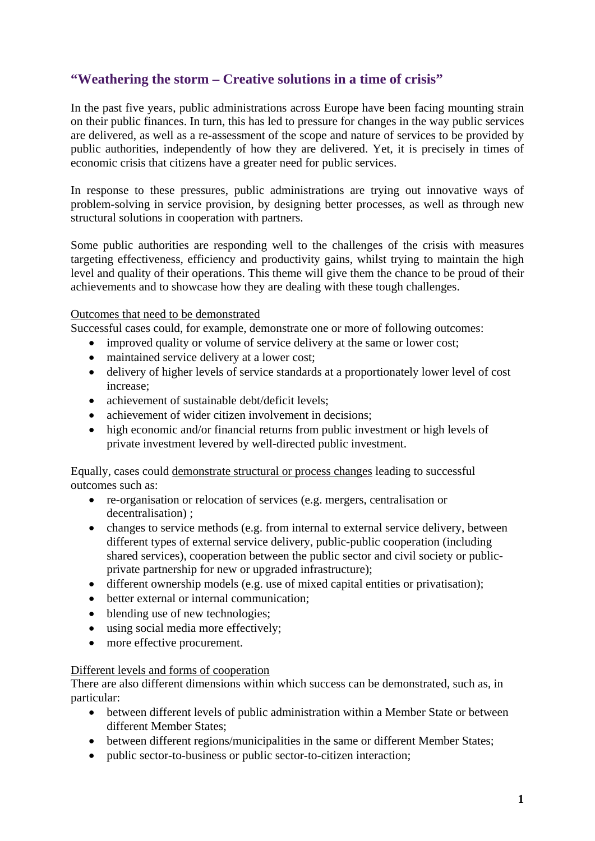## **"Weathering the storm – Creative solutions in a time of crisis"**

In the past five years, public administrations across Europe have been facing mounting strain on their public finances. In turn, this has led to pressure for changes in the way public services are delivered, as well as a re-assessment of the scope and nature of services to be provided by public authorities, independently of how they are delivered. Yet, it is precisely in times of economic crisis that citizens have a greater need for public services.

In response to these pressures, public administrations are trying out innovative ways of problem-solving in service provision, by designing better processes, as well as through new structural solutions in cooperation with partners.

Some public authorities are responding well to the challenges of the crisis with measures targeting effectiveness, efficiency and productivity gains, whilst trying to maintain the high level and quality of their operations. This theme will give them the chance to be proud of their achievements and to showcase how they are dealing with these tough challenges.

## Outcomes that need to be demonstrated

Successful cases could, for example, demonstrate one or more of following outcomes:

- improved quality or volume of service delivery at the same or lower cost;
- maintained service delivery at a lower cost;
- delivery of higher levels of service standards at a proportionately lower level of cost increase;
- achievement of sustainable debt/deficit levels:
- achievement of wider citizen involvement in decisions;
- high economic and/or financial returns from public investment or high levels of private investment levered by well-directed public investment.

Equally, cases could demonstrate structural or process changes leading to successful outcomes such as:

- re-organisation or relocation of services (e.g. mergers, centralisation or decentralisation) ;
- changes to service methods (e.g. from internal to external service delivery, between different types of external service delivery, public-public cooperation (including shared services), cooperation between the public sector and civil society or publicprivate partnership for new or upgraded infrastructure);
- different ownership models (e.g. use of mixed capital entities or privatisation);
- better external or internal communication;
- blending use of new technologies:
- using social media more effectively;
- more effective procurement.

## Different levels and forms of cooperation

There are also different dimensions within which success can be demonstrated, such as, in particular:

- between different levels of public administration within a Member State or between different Member States;
- between different regions/municipalities in the same or different Member States;
- public sector-to-business or public sector-to-citizen interaction;